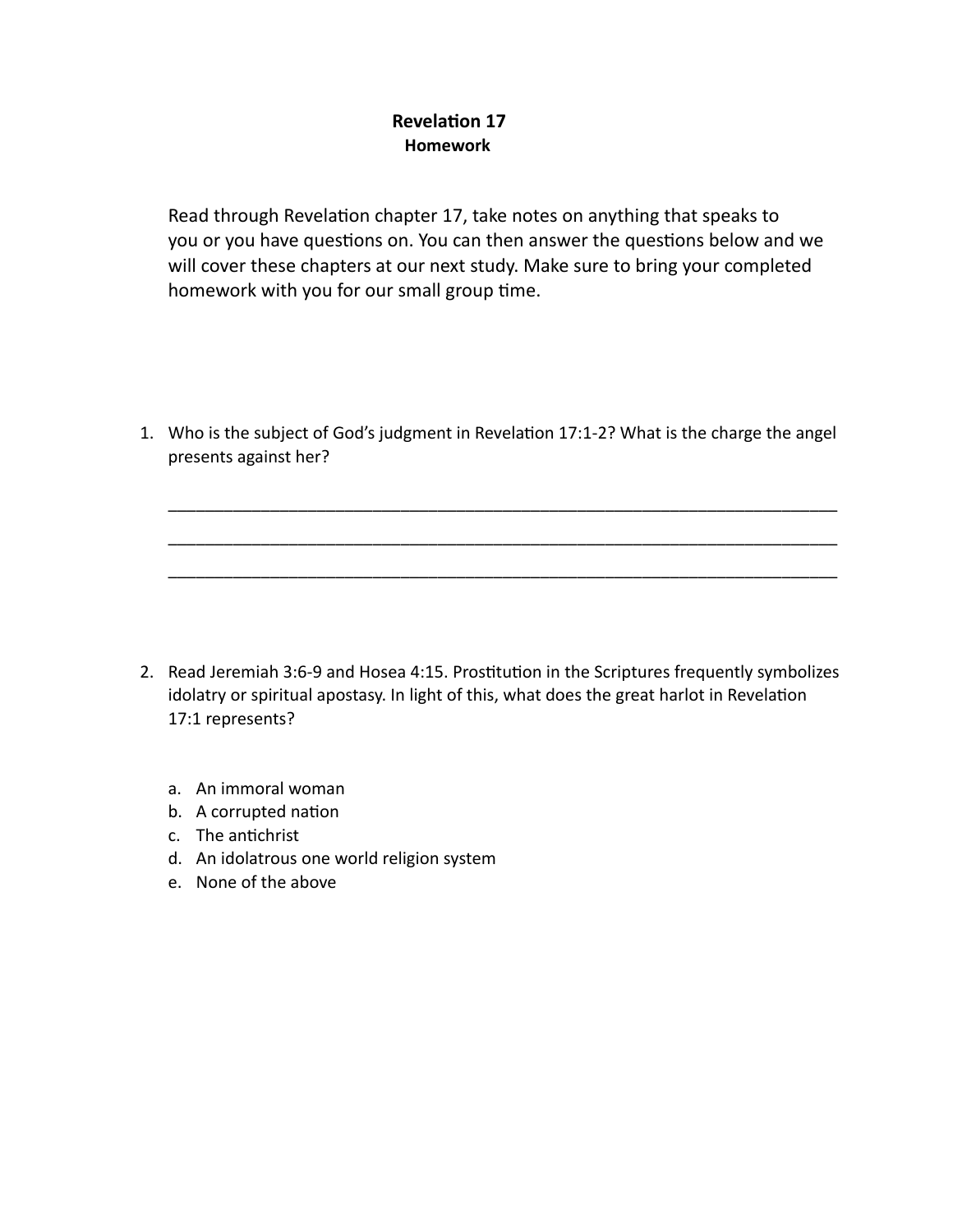## **Revelation 17 Homework**

Read through Revelation chapter 17, take notes on anything that speaks to you or you have questions on. You can then answer the questions below and we will cover these chapters at our next study. Make sure to bring your completed homework with you for our small group time.

1. Who is the subject of God's judgment in Revelation 17:1-2? What is the charge the angel presents against her?

\_\_\_\_\_\_\_\_\_\_\_\_\_\_\_\_\_\_\_\_\_\_\_\_\_\_\_\_\_\_\_\_\_\_\_\_\_\_\_\_\_\_\_\_\_\_\_\_\_\_\_\_\_\_\_\_\_\_\_\_\_\_\_\_\_\_\_\_\_\_\_\_

\_\_\_\_\_\_\_\_\_\_\_\_\_\_\_\_\_\_\_\_\_\_\_\_\_\_\_\_\_\_\_\_\_\_\_\_\_\_\_\_\_\_\_\_\_\_\_\_\_\_\_\_\_\_\_\_\_\_\_\_\_\_\_\_\_\_\_\_\_\_\_\_

\_\_\_\_\_\_\_\_\_\_\_\_\_\_\_\_\_\_\_\_\_\_\_\_\_\_\_\_\_\_\_\_\_\_\_\_\_\_\_\_\_\_\_\_\_\_\_\_\_\_\_\_\_\_\_\_\_\_\_\_\_\_\_\_\_\_\_\_\_\_\_\_

- 2. Read Jeremiah 3:6-9 and Hosea 4:15. Prostitution in the Scriptures frequently symbolizes idolatry or spiritual apostasy. In light of this, what does the great harlot in Revelation 17:1 represents?
	- a. An immoral woman
	- b. A corrupted nation
	- c. The antichrist
	- d. An idolatrous one world religion system
	- e. None of the above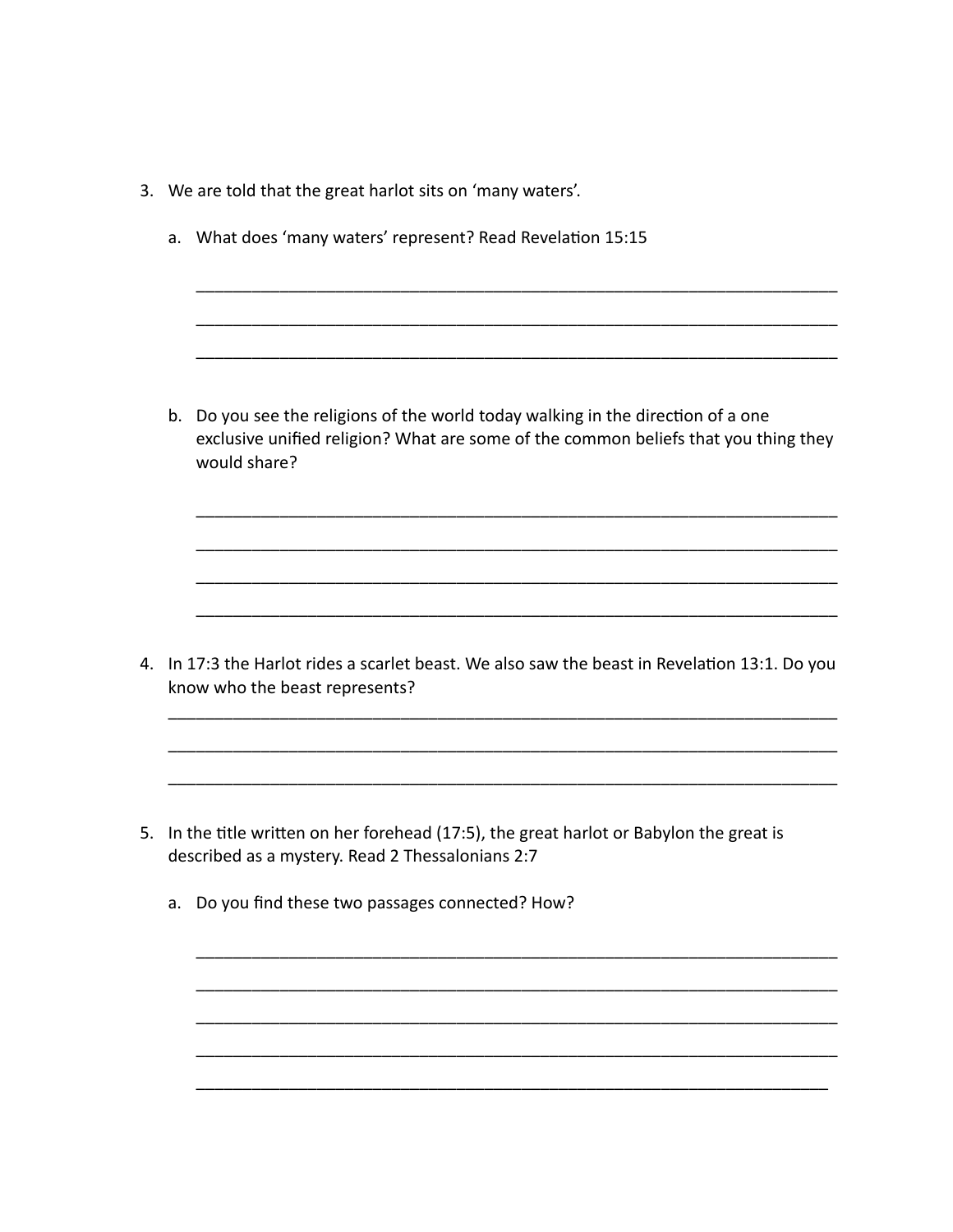- 3. We are told that the great harlot sits on 'many waters'.
	- a. What does 'many waters' represent? Read Revelation 15:15

b. Do you see the religions of the world today walking in the direction of a one exclusive unified religion? What are some of the common beliefs that you thing they would share?

4. In 17:3 the Harlot rides a scarlet beast. We also saw the beast in Revelation 13:1. Do you know who the beast represents?

- 5. In the title written on her forehead (17:5), the great harlot or Babylon the great is described as a mystery. Read 2 Thessalonians 2:7
	- a. Do you find these two passages connected? How?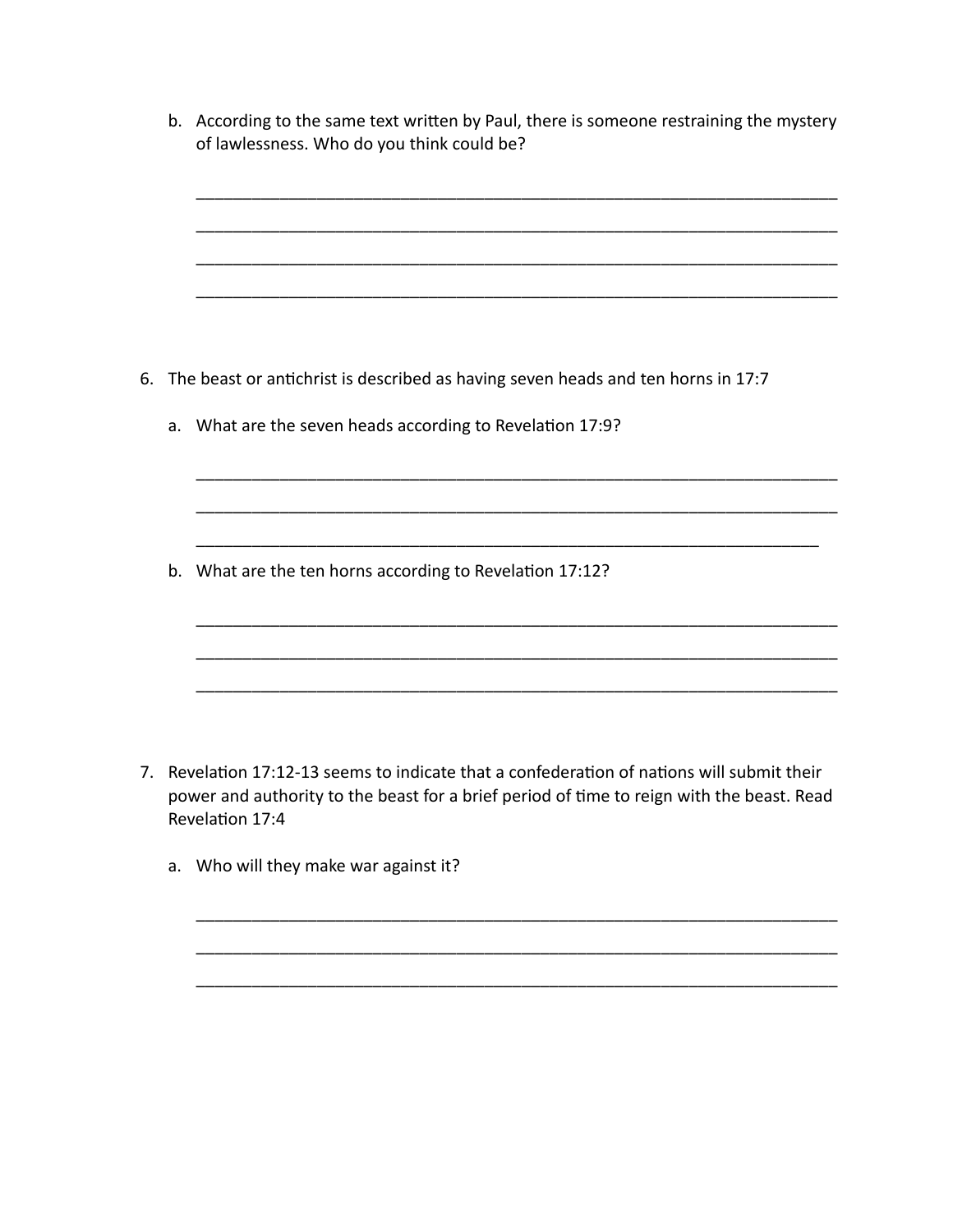|  | b. According to the same text written by Paul, there is someone restraining the mystery<br>of lawlessness. Who do you think could be? |
|--|---------------------------------------------------------------------------------------------------------------------------------------|
|  |                                                                                                                                       |
|  | 6. The beast or antichrist is described as having seven heads and ten horns in 17:7                                                   |
|  | a. What are the seven heads according to Revelation 17:9?                                                                             |
|  |                                                                                                                                       |
|  | b. What are the ten horns according to Revelation 17:12?                                                                              |
|  |                                                                                                                                       |
|  |                                                                                                                                       |

7. Revelation 17:12-13 seems to indicate that a confederation of nations will submit their power and authority to the beast for a brief period of time to reign with the beast. Read Revelation 17:4

\_\_\_\_\_\_\_\_\_\_\_\_\_\_\_\_\_\_\_\_\_\_\_\_\_\_\_\_\_\_\_\_\_\_\_\_\_\_\_\_\_\_\_\_\_\_\_\_\_\_\_\_\_\_\_\_\_\_\_\_\_\_\_\_\_\_\_\_\_

\_\_\_\_\_\_\_\_\_\_\_\_\_\_\_\_\_\_\_\_\_\_\_\_\_\_\_\_\_\_\_\_\_\_\_\_\_\_\_\_\_\_\_\_\_\_\_\_\_\_\_\_\_\_\_\_\_\_\_\_\_\_\_\_\_\_\_\_\_

\_\_\_\_\_\_\_\_\_\_\_\_\_\_\_\_\_\_\_\_\_\_\_\_\_\_\_\_\_\_\_\_\_\_\_\_\_\_\_\_\_\_\_\_\_\_\_\_\_\_\_\_\_\_\_\_\_\_\_\_\_\_\_\_\_\_\_\_\_

a. Who will they make war against it?